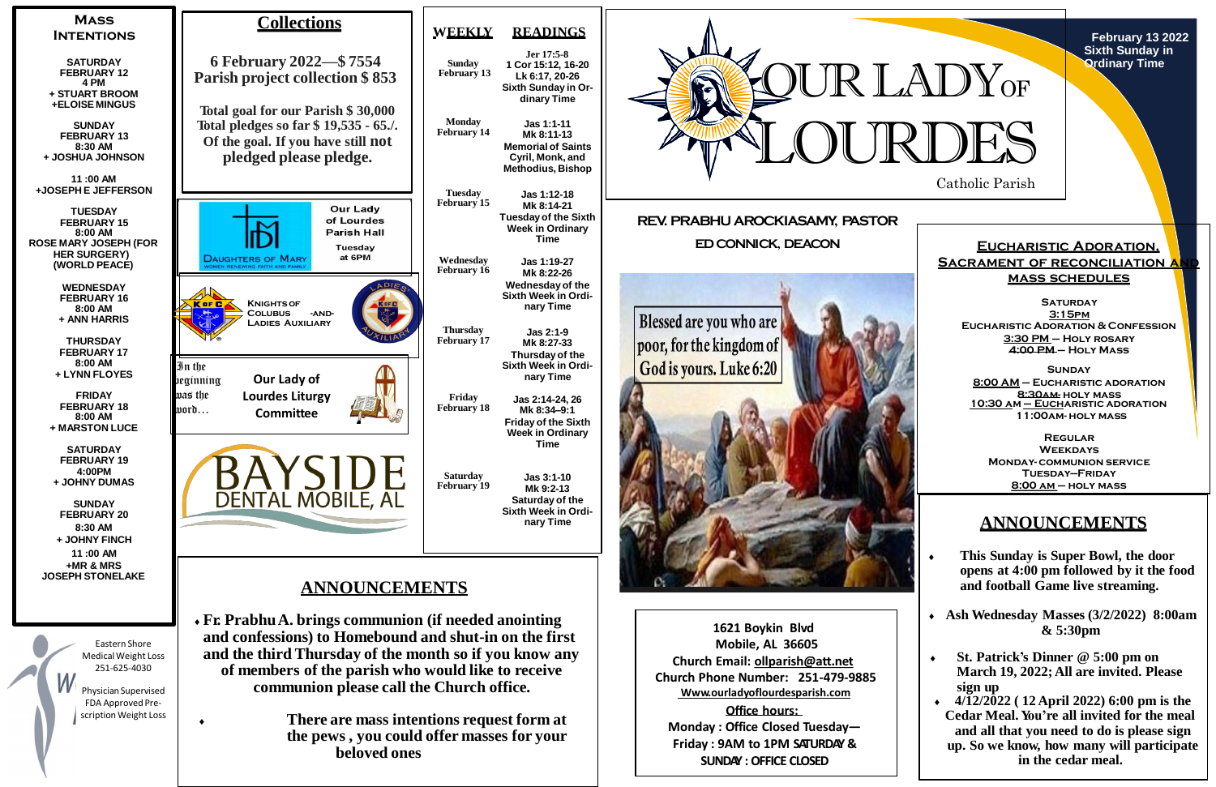

**February 13 2022 Sixth Sunday in Ordinary Time**



FDA Approved Prescription Weight Loss

**Office hours: Monday : Office Closed Tuesday— Friday : 9AM to 1PM SATURDAY & SUNDAY : OFFICE CLOSED**

**There are mass intentions request form at**

**the pews , you could offer masses for your**

**beloved ones**

# **ANNOUNCEMENTS**

- **This Sunday is Super Bowl, the door opens at 4:00 pm followed by it the food and football Game live streaming.**
- **Ash Wednesday Masses (3/2/2022) 8:00am & 5:30pm**
- **St. Patrick's Dinner @ 5:00 pm on March 19, 2022; All are invited. Please sign up**
- **4/12/2022 ( 12 April 2022) 6:00 pm is the Cedar Meal. You're all invited for the meal and all that you need to do is please sign up. So we know, how many will participate in the cedar meal.**

**Eucharistic Adoration, SACRAMENT OF RECONCILIATION A mass schedules**

**Saturday 3:15pm Eucharistic Adoration & Confession 3:30 PM – Holy rosary 4:00 PM – Holy Mass**

**Sunday 8:00 AM – Eucharistic adoration 8:30am- holy mass 10:30 am – Eucharistic adoration 11:00am- holy mass**

**Regular Weekdays Monday- communion service Tuesday—Friday 8:00 am – holy mass**